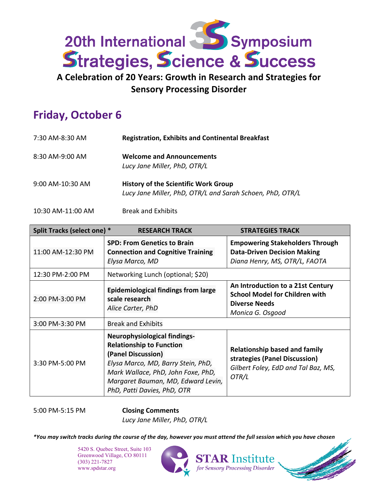

**A Celebration of 20 Years: Growth in Research and Strategies for Sensory Processing Disorder** 

## **Friday, October 6**

| 7:30 AM-8:30 AM   | <b>Registration, Exhibits and Continental Breakfast</b>                                                  |  |
|-------------------|----------------------------------------------------------------------------------------------------------|--|
| $8:30$ AM-9:00 AM | <b>Welcome and Announcements</b><br>Lucy Jane Miller, PhD, OTR/L                                         |  |
| 9:00 AM-10:30 AM  | <b>History of the Scientific Work Group</b><br>Lucy Jane Miller, PhD, OTR/L and Sarah Schoen, PhD, OTR/L |  |

10:30 AM-11:00 AM Break and Exhibits

| Split Tracks (select one) * | <b>RESEARCH TRACK</b>                                                                                                                                                                                                                         | <b>STRATEGIES TRACK</b>                                                                                                |  |
|-----------------------------|-----------------------------------------------------------------------------------------------------------------------------------------------------------------------------------------------------------------------------------------------|------------------------------------------------------------------------------------------------------------------------|--|
| 11:00 AM-12:30 PM           | <b>SPD: From Genetics to Brain</b><br><b>Connection and Cognitive Training</b><br>Elysa Marco, MD                                                                                                                                             | <b>Empowering Stakeholders Through</b><br><b>Data-Driven Decision Making</b><br>Diana Henry, MS, OTR/L, FAOTA          |  |
| 12:30 PM-2:00 PM            | Networking Lunch (optional; \$20)                                                                                                                                                                                                             |                                                                                                                        |  |
| 2:00 PM-3:00 PM             | <b>Epidemiological findings from large</b><br>scale research<br>Alice Carter, PhD                                                                                                                                                             | An Introduction to a 21st Century<br><b>School Model for Children with</b><br><b>Diverse Needs</b><br>Monica G. Osgood |  |
| 3:00 PM-3:30 PM             | <b>Break and Exhibits</b>                                                                                                                                                                                                                     |                                                                                                                        |  |
| 3:30 PM-5:00 PM             | <b>Neurophysiological findings-</b><br><b>Relationship to Function</b><br>(Panel Discussion)<br>Elysa Marco, MD, Barry Stein, PhD,<br>Mark Wallace, PhD, John Foxe, PhD,<br>Margaret Bauman, MD, Edward Levin,<br>PhD, Patti Davies, PhD, OTR | <b>Relationship based and family</b><br>strategies (Panel Discussion)<br>Gilbert Foley, EdD and Tal Baz, MS,<br>OTR/L  |  |

5:00 PM-5:15 PM **Closing Comments**

*Lucy Jane Miller, PhD, OTR/L*

*\*You may switch tracks during the course of the day, however you must attend the full session which you have chosen*

**R** Institute **Sensory Processing Disorder** 

5420 S. Quebec Street, Suite 103 Greenwood Village, CO 80111 (303) 221-7827 www.spdstar.org